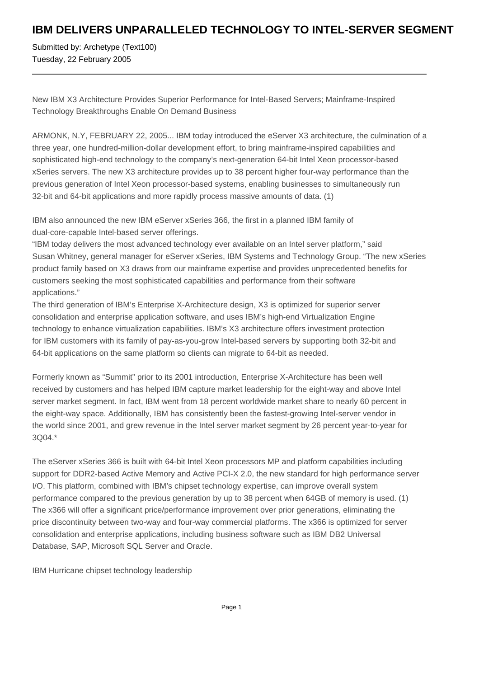## **IBM DELIVERS UNPARALLELED TECHNOLOGY TO INTEL-SERVER SEGMENT**

Submitted by: Archetype (Text100) Tuesday, 22 February 2005

New IBM X3 Architecture Provides Superior Performance for Intel-Based Servers; Mainframe-Inspired Technology Breakthroughs Enable On Demand Business

ARMONK, N.Y, FEBRUARY 22, 2005... IBM today introduced the eServer X3 architecture, the culmination of a three year, one hundred-million-dollar development effort, to bring mainframe-inspired capabilities and sophisticated high-end technology to the company's next-generation 64-bit Intel Xeon processor-based xSeries servers. The new X3 architecture provides up to 38 percent higher four-way performance than the previous generation of Intel Xeon processor-based systems, enabling businesses to simultaneously run 32-bit and 64-bit applications and more rapidly process massive amounts of data. (1)

IBM also announced the new IBM eServer xSeries 366, the first in a planned IBM family of dual-core-capable Intel-based server offerings.

"IBM today delivers the most advanced technology ever available on an Intel server platform," said Susan Whitney, general manager for eServer xSeries, IBM Systems and Technology Group. "The new xSeries product family based on X3 draws from our mainframe expertise and provides unprecedented benefits for customers seeking the most sophisticated capabilities and performance from their software applications."

The third generation of IBM's Enterprise X-Architecture design, X3 is optimized for superior server consolidation and enterprise application software, and uses IBM's high-end Virtualization Engine technology to enhance virtualization capabilities. IBM's X3 architecture offers investment protection for IBM customers with its family of pay-as-you-grow Intel-based servers by supporting both 32-bit and 64-bit applications on the same platform so clients can migrate to 64-bit as needed.

Formerly known as "Summit" prior to its 2001 introduction, Enterprise X-Architecture has been well received by customers and has helped IBM capture market leadership for the eight-way and above Intel server market segment. In fact, IBM went from 18 percent worldwide market share to nearly 60 percent in the eight-way space. Additionally, IBM has consistently been the fastest-growing Intel-server vendor in the world since 2001, and grew revenue in the Intel server market segment by 26 percent year-to-year for 3Q04.\*

The eServer xSeries 366 is built with 64-bit Intel Xeon processors MP and platform capabilities including support for DDR2-based Active Memory and Active PCI-X 2.0, the new standard for high performance server I/O. This platform, combined with IBM's chipset technology expertise, can improve overall system performance compared to the previous generation by up to 38 percent when 64GB of memory is used. (1) The x366 will offer a significant price/performance improvement over prior generations, eliminating the price discontinuity between two-way and four-way commercial platforms. The x366 is optimized for server consolidation and enterprise applications, including business software such as IBM DB2 Universal Database, SAP, Microsoft SQL Server and Oracle.

IBM Hurricane chipset technology leadership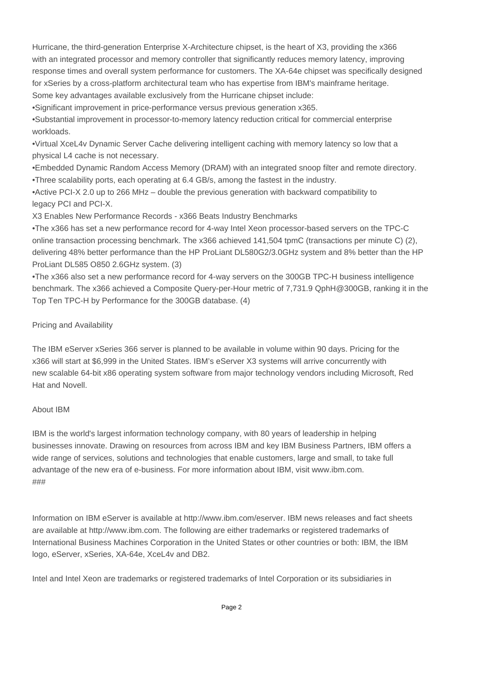Hurricane, the third-generation Enterprise X-Architecture chipset, is the heart of X3, providing the x366 with an integrated processor and memory controller that significantly reduces memory latency, improving response times and overall system performance for customers. The XA-64e chipset was specifically designed for xSeries by a cross-platform architectural team who has expertise from IBM's mainframe heritage. Some key advantages available exclusively from the Hurricane chipset include:

• Significant improvement in price-performance versus previous generation x365.

• Substantial improvement in processor-to-memory latency reduction critical for commercial enterprise workloads.

• Virtual XceL4v Dynamic Server Cache delivering intelligent caching with memory latency so low that a physical L4 cache is not necessary.

• Embedded Dynamic Random Access Memory (DRAM) with an integrated snoop filter and remote directory.

• Three scalability ports, each operating at 6.4 GB/s, among the fastest in the industry.

• Active PCI-X 2.0 up to 266 MHz – double the previous generation with backward compatibility to legacy PCI and PCI-X.

X3 Enables New Performance Records - x366 Beats Industry Benchmarks

• The x366 has set a new performance record for 4-way Intel Xeon processor-based servers on the TPC-C online transaction processing benchmark. The x366 achieved 141,504 tpmC (transactions per minute C) (2), delivering 48% better performance than the HP ProLiant DL580G2/3.0GHz system and 8% better than the HP ProLiant DL585 O850 2.6GHz system. (3)

• The x366 also set a new performance record for 4-way servers on the 300GB TPC-H business intelligence benchmark. The x366 achieved a Composite Query-per-Hour metric of 7,731.9 QphH@300GB, ranking it in the Top Ten TPC-H by Performance for the 300GB database. (4)

## Pricing and Availability

The IBM eServer xSeries 366 server is planned to be available in volume within 90 days. Pricing for the x366 will start at \$6,999 in the United States. IBM's eServer X3 systems will arrive concurrently with new scalable 64-bit x86 operating system software from major technology vendors including Microsoft, Red Hat and Novell.

## About IBM

IBM is the world's largest information technology company, with 80 years of leadership in helping businesses innovate. Drawing on resources from across IBM and key IBM Business Partners, IBM offers a wide range of services, solutions and technologies that enable customers, large and small, to take full advantage of the new era of e-business. For more information about IBM, visit www.ibm.com. ###

Information on IBM eServer is available at http://www.ibm.com/eserver. IBM news releases and fact sheets are available at http://www.ibm.com. The following are either trademarks or registered trademarks of International Business Machines Corporation in the United States or other countries or both: IBM, the IBM logo, eServer, xSeries, XA-64e, XceL4v and DB2.

Intel and Intel Xeon are trademarks or registered trademarks of Intel Corporation or its subsidiaries in